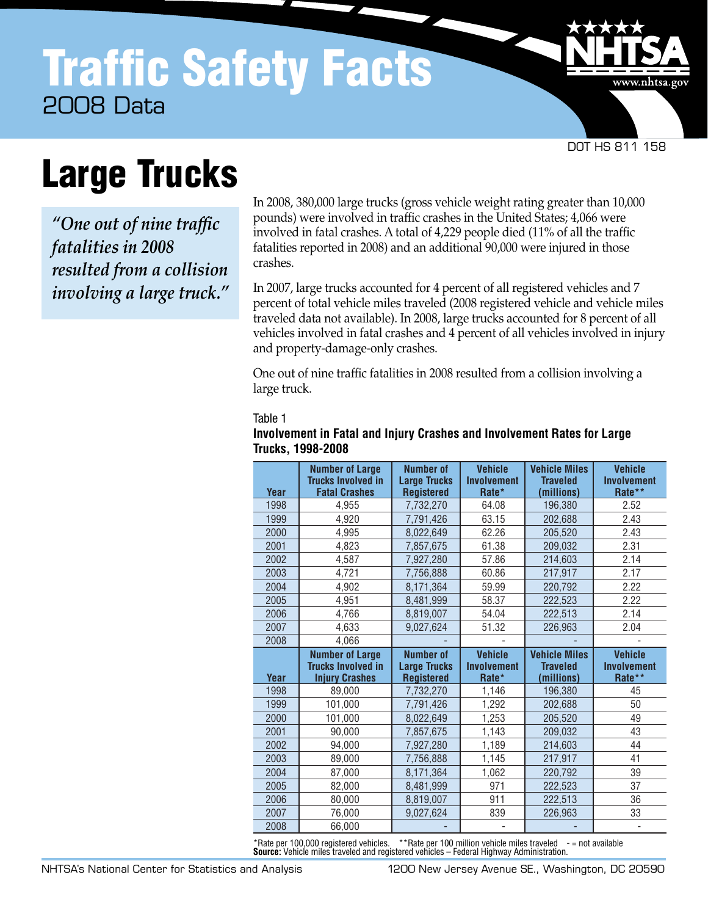DOT HS 811 158

www.nhtsa.gov

# Large Trucks

*"One out of nine traffic fatalities in 2008 resulted from a collision involving a large truck."* In 2008, 380,000 large trucks (gross vehicle weight rating greater than 10,000 pounds) were involved in traffic crashes in the United States; 4,066 were involved in fatal crashes. A total of 4,229 people died (11% of all the traffic fatalities reported in 2008) and an additional 90,000 were injured in those crashes.

In 2007, large trucks accounted for 4 percent of all registered vehicles and 7 percent of total vehicle miles traveled (2008 registered vehicle and vehicle miles traveled data not available). In 2008, large trucks accounted for 8 percent of all vehicles involved in fatal crashes and 4 percent of all vehicles involved in injury and property-damage-only crashes.

One out of nine traffic fatalities in 2008 resulted from a collision involving a large truck.

#### Table 1

| Year | <b>Number of Large</b><br><b>Trucks Involved in</b><br><b>Fatal Crashes</b>  | <b>Number of</b><br><b>Large Trucks</b><br><b>Registered</b> | <b>Vehicle</b><br><b>Involvement</b><br>Rate* | <b>Vehicle Miles</b><br><b>Traveled</b><br>(millions) | <b>Vehicle</b><br><b>Involvement</b><br>Rate** |
|------|------------------------------------------------------------------------------|--------------------------------------------------------------|-----------------------------------------------|-------------------------------------------------------|------------------------------------------------|
| 1998 | 4.955                                                                        | 7,732,270                                                    | 64.08                                         | 196,380                                               | 2.52                                           |
| 1999 | 4,920                                                                        | 7,791,426                                                    | 63.15                                         | 202,688                                               | 2.43                                           |
| 2000 | 4.995                                                                        | 8,022,649                                                    | 62.26                                         | 205,520                                               | 2.43                                           |
| 2001 | 4,823                                                                        | 7,857,675                                                    | 61.38                                         | 209,032                                               | 2.31                                           |
| 2002 | 4.587                                                                        | 7.927.280                                                    | 57.86                                         | 214.603                                               | 2.14                                           |
| 2003 | 4,721                                                                        | 7,756,888                                                    | 60.86                                         | 217,917                                               | 2.17                                           |
| 2004 | 4,902                                                                        | 8,171,364                                                    | 59.99                                         | 220,792                                               | 2.22                                           |
| 2005 | 4,951                                                                        | 8,481,999                                                    | 58.37                                         | 222,523                                               | 2.22                                           |
| 2006 | 4.766                                                                        | 8,819,007                                                    | 54.04                                         | 222,513                                               | 2.14                                           |
| 2007 | 4.633                                                                        | 9.027.624                                                    | 51.32                                         | 226.963                                               | 2.04                                           |
| 2008 | 4,066                                                                        |                                                              |                                               |                                                       |                                                |
|      |                                                                              |                                                              |                                               |                                                       |                                                |
| Year | <b>Number of Large</b><br><b>Trucks Involved in</b><br><b>Injury Crashes</b> | <b>Number of</b><br><b>Large Trucks</b><br><b>Registered</b> | <b>Vehicle</b><br><b>Involvement</b><br>Rate* | <b>Vehicle Miles</b><br><b>Traveled</b><br>(millions) | <b>Vehicle</b><br><b>Involvement</b><br>Rate** |
| 1998 | 89,000                                                                       | 7.732.270                                                    | 1,146                                         | 196.380                                               | 45                                             |
| 1999 | 101,000                                                                      | 7,791,426                                                    | 1,292                                         | 202,688                                               | 50                                             |
| 2000 | 101,000                                                                      | 8,022,649                                                    | 1,253                                         | 205,520                                               | 49                                             |
| 2001 | 90,000                                                                       | 7,857,675                                                    | 1,143                                         | 209,032                                               | 43                                             |
| 2002 | 94,000                                                                       | 7,927,280                                                    | 1,189                                         | 214,603                                               | 44                                             |
| 2003 | 89,000                                                                       | 7,756,888                                                    | 1,145                                         | 217,917                                               | 41                                             |
| 2004 | 87,000                                                                       | 8,171,364                                                    | 1,062                                         | 220,792                                               | 39                                             |
| 2005 | 82.000                                                                       | 8,481,999                                                    | 971                                           | 222,523                                               | 37                                             |
| 2006 | 80.000                                                                       | 8,819,007                                                    | 911                                           | 222,513                                               | 36                                             |
| 2007 | 76,000                                                                       | 9,027,624                                                    | 839                                           | 226,963                                               | 33                                             |

### **Involvement in Fatal and Injury Crashes and Involvement Rates for Large Trucks, 1998-2008**

\*Rate per 100,000 registered vehicles. \*\*Rate per 100 million vehicle miles traveled - = not available<br>**Source:** Vehicle miles traveled and registered vehicles – Federal Highway Administration. **Source:** Vehicle miles traveled and registered vehicles – Federal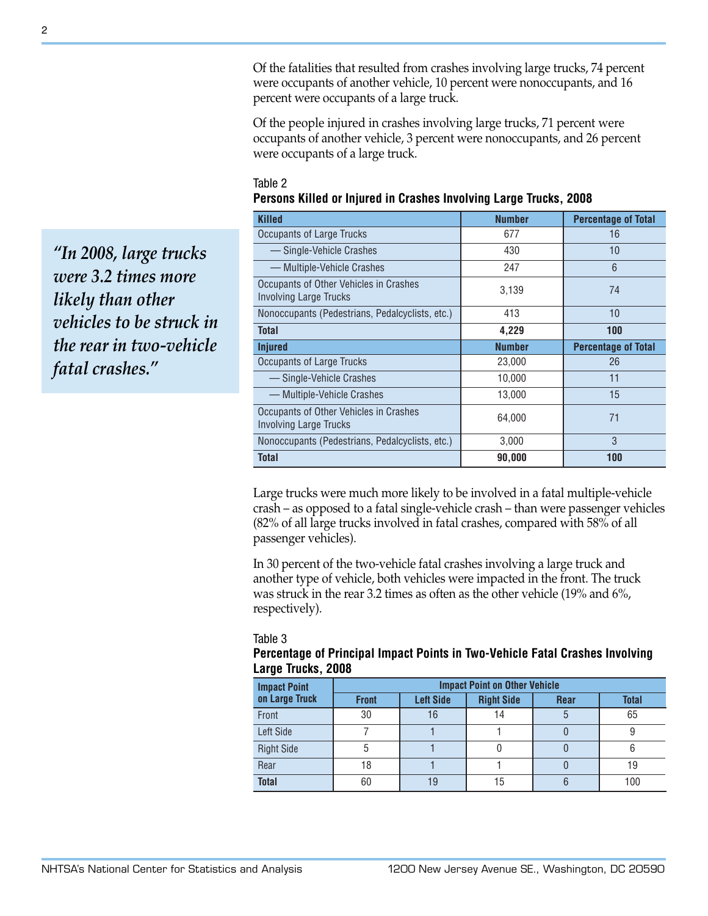Of the fatalities that resulted from crashes involving large trucks, 74 percent were occupants of another vehicle, 10 percent were nonoccupants, and 16 percent were occupants of a large truck.

Of the people injured in crashes involving large trucks, 71 percent were occupants of another vehicle, 3 percent were nonoccupants, and 26 percent were occupants of a large truck.

| Table 2                                                           |  |
|-------------------------------------------------------------------|--|
| Persons Killed or Injured in Crashes Involving Large Trucks, 2008 |  |
|                                                                   |  |

| <b>Killed</b>                                                           | <b>Number</b> | <b>Percentage of Total</b> |
|-------------------------------------------------------------------------|---------------|----------------------------|
| Occupants of Large Trucks                                               | 677           | 16                         |
| -Single-Vehicle Crashes                                                 | 430           | $10 \,$                    |
| — Multiple-Vehicle Crashes                                              | 247           | 6                          |
| Occupants of Other Vehicles in Crashes<br><b>Involving Large Trucks</b> | 3,139         | 74                         |
| Nonoccupants (Pedestrians, Pedalcyclists, etc.)                         | 413           | 10                         |
| Total                                                                   | 4,229         | 100                        |
|                                                                         |               |                            |
| <b>Injured</b>                                                          | <b>Number</b> | <b>Percentage of Total</b> |
| Occupants of Large Trucks                                               | 23,000        | 26                         |
| — Single-Vehicle Crashes                                                | 10,000        | 11                         |
| — Multiple-Vehicle Crashes                                              | 13,000        | 15                         |
| Occupants of Other Vehicles in Crashes<br><b>Involving Large Trucks</b> | 64,000        | 71                         |
| Nonoccupants (Pedestrians, Pedalcyclists, etc.)                         | 3,000         | 3                          |

Large trucks were much more likely to be involved in a fatal multiple-vehicle crash – as opposed to a fatal single-vehicle crash – than were passenger vehicles (82% of all large trucks involved in fatal crashes, compared with 58% of all passenger vehicles).

In 30 percent of the two-vehicle fatal crashes involving a large truck and another type of vehicle, both vehicles were impacted in the front. The truck was struck in the rear 3.2 times as often as the other vehicle (19% and 6%, respectively).

Table 3

## **Percentage of Principal Impact Points in Two-Vehicle Fatal Crashes Involving Large Trucks, 2008**

| <b>Impact Point</b> | <b>Impact Point on Other Vehicle</b> |                  |                   |             |              |
|---------------------|--------------------------------------|------------------|-------------------|-------------|--------------|
| on Large Truck      | <b>Front</b>                         | <b>Left Side</b> | <b>Right Side</b> | <b>Rear</b> | <b>Total</b> |
| Front               | 30                                   | 16               | 14                | 5           | 65           |
| Left Side           |                                      |                  |                   |             |              |
| <b>Right Side</b>   | 5                                    |                  |                   |             | 6            |
| Rear                | 18                                   |                  |                   |             | 19           |
| <b>Total</b>        | 60                                   | 19               | 15                |             | 100          |

*"In 2008, large trucks were 3.2 times more likely than other vehicles to be struck in the rear in two-vehicle fatal crashes."*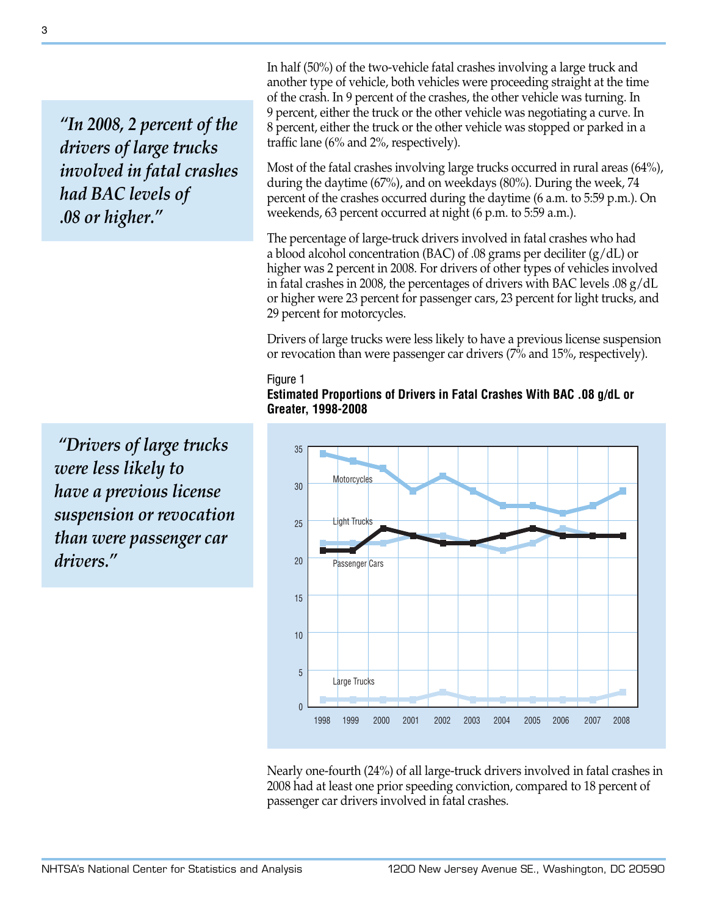*"In 2008, 2 percent of the drivers of large trucks involved in fatal crashes had BAC levels of .08 or higher."*

 *"Drivers of large trucks were less likely to have a previous license suspension or revocation than were passenger car drivers."*

In half (50%) of the two-vehicle fatal crashes involving a large truck and another type of vehicle, both vehicles were proceeding straight at the time of the crash. In 9 percent of the crashes, the other vehicle was turning. In 9 percent, either the truck or the other vehicle was negotiating a curve. In 8 percent, either the truck or the other vehicle was stopped or parked in a traffic lane (6% and 2%, respectively).

Most of the fatal crashes involving large trucks occurred in rural areas (64%), during the daytime (67%), and on weekdays (80%). During the week, 74 percent of the crashes occurred during the daytime (6 a.m. to 5:59 p.m.). On weekends, 63 percent occurred at night (6 p.m. to 5:59 a.m.).

The percentage of large-truck drivers involved in fatal crashes who had a blood alcohol concentration (BAC) of .08 grams per deciliter (g/dL) or higher was 2 percent in 2008. For drivers of other types of vehicles involved in fatal crashes in 2008, the percentages of drivers with BAC levels .08 g/dL or higher were 23 percent for passenger cars, 23 percent for light trucks, and 29 percent for motorcycles.

Drivers of large trucks were less likely to have a previous license suspension or revocation than were passenger car drivers (7% and 15%, respectively).

#### Figure 1

**Estimated Proportions of Drivers in Fatal Crashes With BAC .08 g/dL or Greater, 1998-2008**



Nearly one-fourth (24%) of all large-truck drivers involved in fatal crashes in 2008 had at least one prior speeding conviction, compared to 18 percent of passenger car drivers involved in fatal crashes.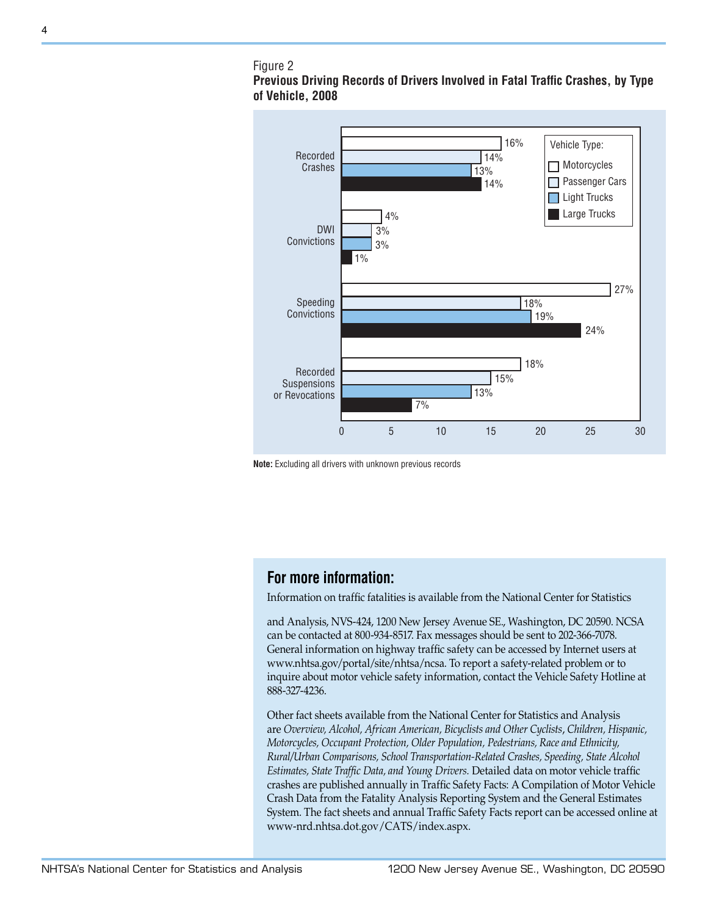## Figure 2





**Note:** Excluding all drivers with unknown previous records

# **For more information:**

Information on traffic fatalities is available from the National Center for Statistics

and Analysis, NVS-424, 1200 New Jersey Avenue SE., Washington, DC 20590. NCSA can be contacted at 800-934-8517. Fax messages should be sent to 202-366-7078. General information on highway traffic safety can be accessed by Internet users at www.nhtsa.gov/portal/site/nhtsa/ncsa. To report a safety-related problem or to inquire about motor vehicle safety information, contact the Vehicle Safety Hotline at 888-327-4236.

Other fact sheets available from the National Center for Statistics and Analysis are *Overview, Alcohol, African American, Bicyclists and Other Cyclists*, *Children, Hispanic, Motorcycles, Occupant Protection, Older Population, Pedestrians, Race and Ethnicity, Rural/Urban Comparisons, School Transportation-Related Crashes, Speeding, State Alcohol Estimates, State Traffic Data, and Young Drivers.* Detailed data on motor vehicle traffic crashes are published annually in Traffic Safety Facts: A Compilation of Motor Vehicle Crash Data from the Fatality Analysis Reporting System and the General Estimates System. The fact sheets and annual Traffic Safety Facts report can be accessed online at www-nrd.nhtsa.dot.gov/CATS/index.aspx.